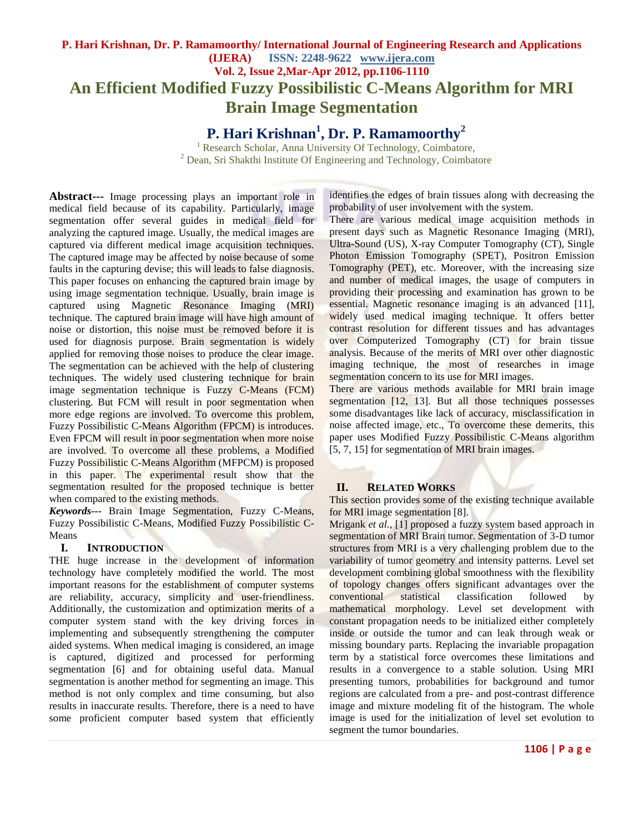# **P. Hari Krishnan, Dr. P. Ramamoorthy/ International Journal of Engineering Research and Applications (IJERA) ISSN: 2248-9622 www.ijera.com Vol. 2, Issue 2,Mar-Apr 2012, pp.1106-1110 An Efficient Modified Fuzzy Possibilistic C-Means Algorithm for MRI Brain Image Segmentation**

**P. Hari Krishnan<sup>1</sup> , Dr. P. Ramamoorthy<sup>2</sup>**

<sup>1</sup> Research Scholar, Anna University Of Technology, Coimbatore, <sup>2</sup> Dean, Sri Shakthi Institute Of Engineering and Technology, Coimbatore

**Abstract---** Image processing plays an important role in medical field because of its capability. Particularly, image segmentation offer several guides in medical field for analyzing the captured image. Usually, the medical images are captured via different medical image acquisition techniques. The captured image may be affected by noise because of some faults in the capturing devise; this will leads to false diagnosis. This paper focuses on enhancing the captured brain image by using image segmentation technique. Usually, brain image is captured using Magnetic Resonance Imaging (MRI) technique. The captured brain image will have high amount of noise or distortion, this noise must be removed before it is used for diagnosis purpose. Brain segmentation is widely applied for removing those noises to produce the clear image. The segmentation can be achieved with the help of clustering techniques. The widely used clustering technique for brain image segmentation technique is Fuzzy C-Means (FCM) clustering. But FCM will result in poor segmentation when more edge regions are involved. To overcome this problem, Fuzzy Possibilistic C-Means Algorithm (FPCM) is introduces. Even FPCM will result in poor segmentation when more noise are involved. To overcome all these problems, a Modified Fuzzy Possibilistic C-Means Algorithm (MFPCM) is proposed in this paper. The experimental result show that the segmentation resulted for the proposed technique is better when compared to the existing methods.

*Keywords---* Brain Image Segmentation, Fuzzy C-Means, Fuzzy Possibilistic C-Means, Modified Fuzzy Possibilistic C-Means

#### **I. INTRODUCTION**

THE huge increase in the development of information technology have completely modified the world. The most important reasons for the establishment of computer systems are reliability, accuracy, simplicity and user-friendliness. Additionally, the customization and optimization merits of a computer system stand with the key driving forces in implementing and subsequently strengthening the computer aided systems. When medical imaging is considered, an image is captured, digitized and processed for performing segmentation [6] and for obtaining useful data. Manual segmentation is another method for segmenting an image. This method is not only complex and time consuming, but also results in inaccurate results. Therefore, there is a need to have some proficient computer based system that efficiently

identifies the edges of brain tissues along with decreasing the probability of user involvement with the system.

There are various medical image acquisition methods in present days such as Magnetic Resonance Imaging (MRI), Ultra-Sound (US), X-ray Computer Tomography (CT), Single Photon Emission Tomography (SPET), Positron Emission Tomography (PET), etc. Moreover, with the increasing size and number of medical images, the usage of computers in providing their processing and examination has grown to be essential. Magnetic resonance imaging is an advanced [11], widely used medical imaging technique. It offers better contrast resolution for different tissues and has advantages over Computerized Tomography (CT) for brain tissue analysis. Because of the merits of MRI over other diagnostic imaging technique, the most of researches in image segmentation concern to its use for MRI images.

There are various methods available for MRI brain image segmentation [12, 13]. But all those techniques possesses some disadvantages like lack of accuracy, misclassification in noise affected image, etc., To overcome these demerits, this paper uses Modified Fuzzy Possibilistic C-Means algorithm [5, 7, 15] for segmentation of MRI brain images.

#### **II. RELATED WORKS**

This section provides some of the existing technique available for MRI image segmentation [8].

Mrigank *et al.,* [1] proposed a fuzzy system based approach in segmentation of MRI Brain tumor. Segmentation of 3-D tumor structures from MRI is a very challenging problem due to the variability of tumor geometry and intensity patterns. Level set development combining global smoothness with the flexibility of topology changes offers significant advantages over the conventional statistical classification followed by mathematical morphology. Level set development with constant propagation needs to be initialized either completely inside or outside the tumor and can leak through weak or missing boundary parts. Replacing the invariable propagation term by a statistical force overcomes these limitations and results in a convergence to a stable solution. Using MRI presenting tumors, probabilities for background and tumor regions are calculated from a pre- and post-contrast difference image and mixture modeling fit of the histogram. The whole image is used for the initialization of level set evolution to segment the tumor boundaries.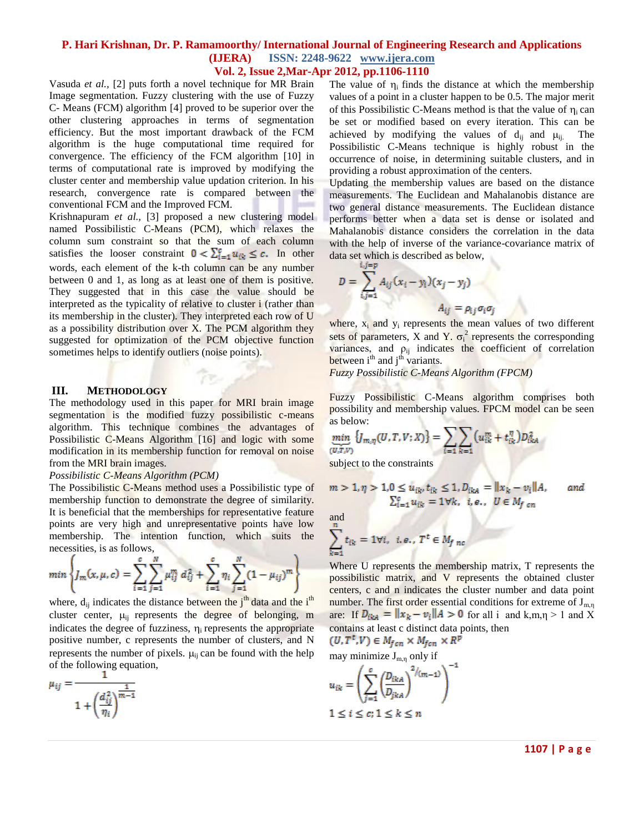#### **P. Hari Krishnan, Dr. P. Ramamoorthy/ International Journal of Engineering Research and Applications (IJERA) ISSN: 2248-9622 www.ijera.com Vol. 2, Issue 2,Mar-Apr 2012, pp.1106-1110**

Vasuda *et al.,* [2] puts forth a novel technique for MR Brain Image segmentation. Fuzzy clustering with the use of Fuzzy C- Means (FCM) algorithm [4] proved to be superior over the other clustering approaches in terms of segmentation efficiency. But the most important drawback of the FCM algorithm is the huge computational time required for convergence. The efficiency of the FCM algorithm [10] in terms of computational rate is improved by modifying the cluster center and membership value updation criterion. In his research, convergence rate is compared between the conventional FCM and the Improved FCM.

Krishnapuram *et al.,* [3] proposed a new clustering model named Possibilistic C-Means (PCM), which relaxes the column sum constraint so that the sum of each column satisfies the looser constraint  $0 < \sum_{i=1}^{c} u_{ik} \le c$ . In other words, each element of the k-th column can be any number between 0 and 1, as long as at least one of them is positive. They suggested that in this case the value should be interpreted as the typicality of relative to cluster i (rather than its membership in the cluster). They interpreted each row of U as a possibility distribution over X. The PCM algorithm they suggested for optimization of the PCM objective function sometimes helps to identify outliers (noise points).

#### **III. METHODOLOGY**

The methodology used in this paper for MRI brain image segmentation is the modified fuzzy possibilistic c-means algorithm. This technique combines the advantages of Possibilistic C-Means Algorithm [16] and logic with some modification in its membership function for removal on noise from the MRI brain images.

#### *Possibilistic C-Means Algorithm (PCM)*

The Possibilistic C-Means method uses a Possibilistic type of membership function to demonstrate the degree of similarity. It is beneficial that the memberships for representative feature points are very high and unrepresentative points have low membership. The intention function, which suits the necessities, is as follows,

$$
min \left\{ J_m(x, \mu, c) = \sum_{i=1}^{c} \sum_{j=1}^{N} \mu_{ij}^{m} d_{ij}^{2} + \sum_{i=1}^{c} \eta_{i} \sum_{j=1}^{N} (1 - \mu_{ij})^{m} \right\}
$$

where,  $d_{ij}$  indicates the distance between the  $j<sup>th</sup>$  data and the  $i<sup>th</sup>$ cluster center,  $\mu_{ii}$  represents the degree of belonging, m indicates the degree of fuzziness,  $\eta_i$  represents the appropriate positive number, c represents the number of clusters, and N represents the number of pixels.  $\mu_{ii}$  can be found with the help of the following equation,

$$
\mu_{ij} = \frac{1}{1 + \left(\frac{d_{ij}^2}{\eta_i}\right)^{\frac{1}{m-1}}}
$$

The value of  $\eta_i$  finds the distance at which the membership values of a point in a cluster happen to be 0.5. The major merit of this Possibilistic C-Means method is that the value of  $\eta_i$  can be set or modified based on every iteration. This can be achieved by modifying the values of  $d_{ii}$  and  $\mu_{ii}$ . The Possibilistic C-Means technique is highly robust in the occurrence of noise, in determining suitable clusters, and in providing a robust approximation of the centers.

Updating the membership values are based on the distance measurements. The Euclidean and Mahalanobis distance are two general distance measurements. The Euclidean distance performs better when a data set is dense or isolated and Mahalanobis distance considers the correlation in the data with the help of inverse of the variance-covariance matrix of data set which is described as below,

$$
D = \sum_{i,j=1}^{i,j=p} A_{ij} (x_i - y_i)(x_j - y_j)
$$
  

$$
A_{ii} = \rho_{ii} \sigma_i \sigma_j
$$

where,  $x_i$  and  $y_i$  represents the mean values of two different sets of parameters, X and Y.  $\sigma_i^2$  represents the corresponding variances, and  $\rho_{ij}$  indicates the coefficient of correlation between  $i<sup>th</sup>$  and  $j<sup>th</sup>$  variants.

*Fuzzy Possibilistic C-Means Algorithm (FPCM)*

Fuzzy Possibilistic C-Means algorithm comprises both possibility and membership values. FPCM model can be seen as below:

$$
\min_{(U,T,V)} \{J_{m,\eta}(U,T,V;X)\} = \sum_{i=1}^{N} \sum_{k=1}^{N} (u_{ik}^{m} + t_{ik}^{\eta}) D_{ikA}^{2}
$$

subject to the constraints

$$
m > 1, \eta > 1, 0 \le u_{ik}, t_{ik} \le 1, D_{ikA} = ||x_k - v_i||A, \quad and
$$
  

$$
\sum_{i=1}^{g} u_{ik} = 1 \forall k, \quad i, e, \quad U \in M_{f, cn}
$$

and

$$
\sum_{k=1} t_{ik} = 1 \forall i, \ i, e, \ T^t \in M_{fnc}
$$

Where U represents the membership matrix, T represents the possibilistic matrix, and V represents the obtained cluster centers, c and n indicates the cluster number and data point number. The first order essential conditions for extreme of  $J_{m,n}$ are: If  $D_{ikA} = ||x_k - v_i||$   $A > 0$  for all i and k,m,  $\eta > 1$  and X contains at least c distinct data points, then<br> $(U, T^t, V) \in M_{fcn} \times M_{fcn} \times R^p$ 

may minimize 
$$
J_{m,n}
$$
 only if  
\n
$$
u_{ik} = \left(\sum_{j=1}^{c} \left(\frac{D_{ikA}}{D_{jka}}\right)^{2/(m-1)}\right)^{-1}
$$
\n
$$
1 \le i \le c; 1 \le k \le n
$$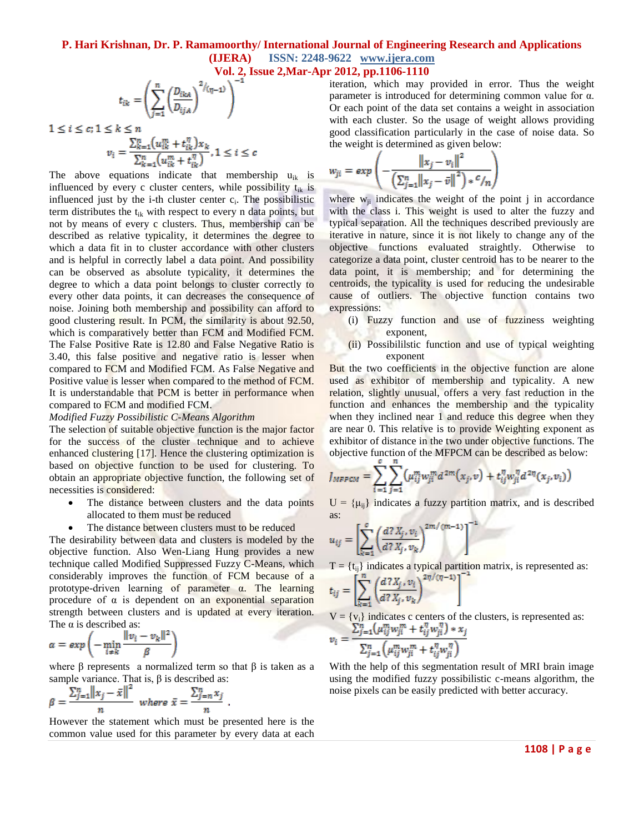## **P. Hari Krishnan, Dr. P. Ramamoorthy/ International Journal of Engineering Research and Applications (IJERA) ISSN: 2248-9622 www.ijera.com**

**Vol. 2, Issue 2,Mar-Apr 2012, pp.1106-1110**

$$
t_{ik} = \left(\sum_{j=1}^{n} \left(\frac{D_{ika}}{D_{ija}}\right)^{2/(\eta-1)}\right)^{-1}
$$

$$
1 \le i \le c; 1 \le k \le n
$$
  

$$
v_i = \frac{\sum_{k=1}^{n} (u_{ik}^m + t_{ik}^{\eta}) x_k}{\sum_{k=1}^{n} (u_{ik}^m + t_{ik}^{\eta})}, 1 \le i \le c
$$

The above equations indicate that membership  $u_{ik}$  is influenced by every c cluster centers, while possibility  $t_{ik}$  is influenced just by the  $i$ -th cluster center  $c_i$ . The possibilistic term distributes the  $t_{ik}$  with respect to every n data points, but not by means of every c clusters. Thus, membership can be described as relative typicality, it determines the degree to which a data fit in to cluster accordance with other clusters and is helpful in correctly label a data point. And possibility can be observed as absolute typicality, it determines the degree to which a data point belongs to cluster correctly to every other data points, it can decreases the consequence of noise. Joining both membership and possibility can afford to good clustering result. In PCM, the similarity is about 92.50, which is comparatively better than FCM and Modified FCM. The False Positive Rate is 12.80 and False Negative Ratio is 3.40, this false positive and negative ratio is lesser when compared to FCM and Modified FCM. As False Negative and Positive value is lesser when compared to the method of FCM. It is understandable that PCM is better in performance when compared to FCM and modified FCM.

#### *Modified Fuzzy Possibilistic C-Means Algorithm*

The selection of suitable objective function is the major factor for the success of the cluster technique and to achieve enhanced clustering [17]. Hence the clustering optimization is based on objective function to be used for clustering. To obtain an appropriate objective function, the following set of necessities is considered:

- The distance between clusters and the data points allocated to them must be reduced
- The distance between clusters must to be reduced

The desirability between data and clusters is modeled by the objective function. Also Wen-Liang Hung provides a new technique called Modified Suppressed Fuzzy C-Means, which considerably improves the function of FCM because of a prototype-driven learning of parameter  $\alpha$ . The learning procedure of  $\alpha$  is dependent on an exponential separation strength between clusters and is updated at every iteration. The  $\alpha$  is described as:

$$
\alpha = exp\left(-\min_{i \neq k} \frac{\|v_i - v_k\|^2}{\beta}\right)
$$

where  $\beta$  represents a normalized term so that  $\beta$  is taken as a sample variance. That is,  $\beta$  is described as:

$$
\beta = \frac{\sum_{j=1}^{n} ||x_j - \bar{x}||^2}{n} \text{ where } \bar{x} = \frac{\sum_{j=n}^{n} x_j}{n}
$$

However the statement which must be presented here is the common value used for this parameter by every data at each iteration, which may provided in error. Thus the weight parameter is introduced for determining common value for α. Or each point of the data set contains a weight in association with each cluster. So the usage of weight allows providing good classification particularly in the case of noise data. So the weight is determined as given below:

$$
w_{ji} = exp\left(-\frac{\left\|x_j - v_i\right\|^2}{\left(\sum_{j=1}^n \left\|x_j - \bar{v}\right\|^2\right) * \mathcal{C}/n}\right)
$$

where  $w_{ii}$  indicates the weight of the point j in accordance with the class i. This weight is used to alter the fuzzy and typical separation. All the techniques described previously are iterative in nature, since it is not likely to change any of the objective functions evaluated straightly. Otherwise to categorize a data point, cluster centroid has to be nearer to the data point, it is membership; and for determining the centroids, the typicality is used for reducing the undesirable cause of outliers. The objective function contains two expressions:

- (i) Fuzzy function and use of fuzziness weighting exponent,
- (ii) Possibililstic function and use of typical weighting exponent

But the two coefficients in the objective function are alone used as exhibitor of membership and typicality. A new relation, slightly unusual, offers a very fast reduction in the function and enhances the membership and the typicality when they inclined near 1 and reduce this degree when they are near 0. This relative is to provide Weighting exponent as exhibitor of distance in the two under objective functions. The objective function of the MFPCM can be described as below:

$$
J_{MFPCM} = \sum_{i=1}^{N} \sum_{j=1}^{n} \left( \mu_{ij}^{m} w_{ji}^{m} d^{2m}(x_{j}, v) + t_{ij}^{n} w_{ji}^{n} d^{2n}(x_{j}, v_{i}) \right)
$$

 $U = {\mu_{ii}}$  indicates a fuzzy partition matrix, and is described as: - 10

$$
u_{ij} = \left[ \sum_{k=1}^{c} \left( \frac{d7 X_j, v_i}{d7 X_j, v_k} \right)^{2m/(m-1)} \right]^{-1}
$$

 $T = {t_{ij}}$  indicates a typical partition matrix, is represented as:

$$
t_{ij} = \left| \sum_{k=1} \left( \frac{a \cdot x_j, v_i}{d^2 X_j, v_k} \right) \right|
$$

V = { $v_i$ } indicates c centers of the clusters, is represented as:<br>  $v_i = \frac{\sum_{j=1}^{n} (\mu_{ij}^m w_{ji}^m + t_{ij}^n w_{ji}^n) * x_j}{\sum_{j=1}^{n} (\mu_{ij}^m w_{ji}^m + t_{ij}^n w_{ji}^n)}$ 

With the help of this segmentation result of MRI brain image using the modified fuzzy possibilistic c-means algorithm, the noise pixels can be easily predicted with better accuracy.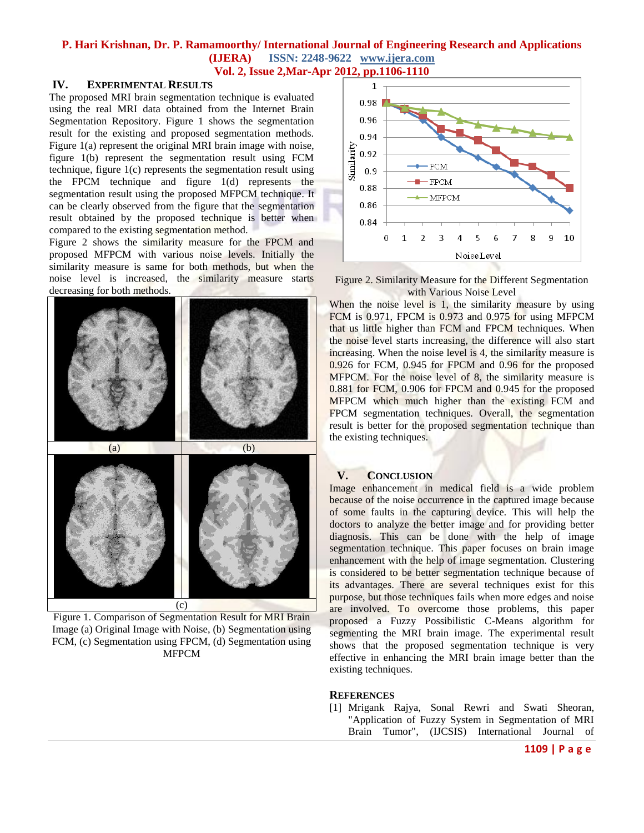### **P. Hari Krishnan, Dr. P. Ramamoorthy/ International Journal of Engineering Research and Applications (IJERA) ISSN: 2248-9622 www.ijera.com Vol. 2, Issue 2,Mar-Apr 2012, pp.1106-1110**

#### **IV. EXPERIMENTAL RESULTS**

The proposed MRI brain segmentation technique is evaluated using the real MRI data obtained from the Internet Brain Segmentation Repository. Figure 1 shows the segmentation result for the existing and proposed segmentation methods. Figure 1(a) represent the original MRI brain image with noise, figure 1(b) represent the segmentation result using FCM technique, figure 1(c) represents the segmentation result using the FPCM technique and figure 1(d) represents the segmentation result using the proposed MFPCM technique. It can be clearly observed from the figure that the segmentation result obtained by the proposed technique is better when compared to the existing segmentation method.

Figure 2 shows the similarity measure for the FPCM and proposed MFPCM with various noise levels. Initially the similarity measure is same for both methods, but when the noise level is increased, the similarity measure starts decreasing for both methods.



Figure 1. Comparison of Segmentation Result for MRI Brain Image (a) Original Image with Noise, (b) Segmentation using FCM, (c) Segmentation using FPCM, (d) Segmentation using MFPCM



Figure 2. Similarity Measure for the Different Segmentation with Various Noise Level

When the noise level is 1, the similarity measure by using FCM is 0.971, FPCM is 0.973 and 0.975 for using MFPCM that us little higher than FCM and FPCM techniques. When the noise level starts increasing, the difference will also start increasing. When the noise level is 4, the similarity measure is 0.926 for FCM, 0.945 for FPCM and 0.96 for the proposed MFPCM. For the noise level of 8, the similarity measure is 0.881 for FCM, 0.906 for FPCM and 0.945 for the proposed MFPCM which much higher than the existing FCM and FPCM segmentation techniques. Overall, the segmentation result is better for the proposed segmentation technique than the existing techniques.

### **V. CONCLUSION**

Image enhancement in medical field is a wide problem because of the noise occurrence in the captured image because of some faults in the capturing device. This will help the doctors to analyze the better image and for providing better diagnosis. This can be done with the help of image segmentation technique. This paper focuses on brain image enhancement with the help of image segmentation. Clustering is considered to be better segmentation technique because of its advantages. There are several techniques exist for this purpose, but those techniques fails when more edges and noise are involved. To overcome those problems, this paper proposed a Fuzzy Possibilistic C-Means algorithm for segmenting the MRI brain image. The experimental result shows that the proposed segmentation technique is very effective in enhancing the MRI brain image better than the existing techniques.

#### **REFERENCES**

[1] Mrigank Rajya, Sonal Rewri and Swati Sheoran, "Application of Fuzzy System in Segmentation of MRI Brain Tumor", (IJCSIS) International Journal of